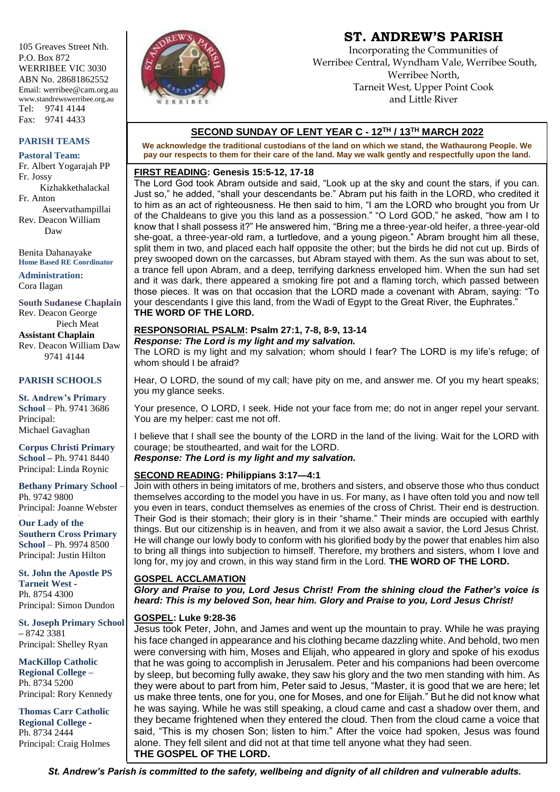105 Greaves Street Nth. P.O. Box 872 WERRIBEE VIC 3030 ABN No. 28681862552 Email: werribee@cam.org.au www.standrewswerribee.org.au Tel: 9741 4144 Fax: 9741 4433

#### **PARISH TEAMS**

#### **Pastoral Team:**

Fr. Albert Yogarajah PP Fr. Jossy Kizhakkethalackal Fr. Anton Aseervathampillai Rev. Deacon William Daw

Benita Dahanayake **Home Based RE Coordinator**

**Administration:** Cora Ilagan

**South Sudanese Chaplain** Rev. Deacon George Piech Meat **Assistant Chaplain** Rev. Deacon William Daw 9741 4144

#### **PARISH SCHOOLS**

**St. Andrew's Primary School** – Ph. 9741 3686 Principal: Michael Gavaghan

**Corpus Christi Primary School –** Ph. 9741 8440 Principal: Linda Roynic

**Bethany Primary School** – Ph. 9742 9800 Principal: Joanne Webster

**Our Lady of the Southern Cross Primary School** – Ph. 9974 8500 Principal: Justin Hilton

**St. John the Apostle PS Tarneit West -** Ph. 8754 4300 Principal: Simon Dundon

**St. Joseph Primary School –** 8742 3381 Principal: Shelley Ryan

**MacKillop Catholic Regional College –** Ph. 8734 5200 Principal: Rory Kennedy

**Thomas Carr Catholic Regional College -** Ph. 8734 2444 Principal: Craig Holmes



# **ST. ANDREW'S PARISH**

Incorporating the Communities of Werribee Central, Wyndham Vale, Werribee South, Werribee North, Tarneit West, Upper Point Cook and Little River

# **SECOND SUNDAY OF LENT YEAR C - 12TH / 13TH MARCH 2022**

**We acknowledge the traditional custodians of the land on which we stand, the Wathaurong People. We pay our respects to them for their care of the land. May we walk gently and respectfully upon the land.**

#### **FIRST READING: Genesis 15:5-12, 17-18**

The Lord God took Abram outside and said, "Look up at the sky and count the stars, if you can. Just so," he added, "shall your descendants be." Abram put his faith in the LORD, who credited it to him as an act of righteousness. He then said to him, "I am the LORD who brought you from Ur of the Chaldeans to give you this land as a possession." "O Lord GOD," he asked, "how am I to know that I shall possess it?" He answered him, "Bring me a three-year-old heifer, a three-year-old she-goat, a three-year-old ram, a turtledove, and a young pigeon." Abram brought him all these, split them in two, and placed each half opposite the other; but the birds he did not cut up. Birds of prey swooped down on the carcasses, but Abram stayed with them. As the sun was about to set, a trance fell upon Abram, and a deep, terrifying darkness enveloped him. When the sun had set and it was dark, there appeared a smoking fire pot and a flaming torch, which passed between those pieces. It was on that occasion that the LORD made a covenant with Abram, saying: "To your descendants I give this land, from the Wadi of Egypt to the Great River, the Euphrates." **THE WORD OF THE LORD.**

#### **RESPONSORIAL PSALM: Psalm 27:1, 7-8, 8-9, 13-14** *Response: The Lord is my light and my salvation.*

The LORD is my light and my salvation; whom should I fear? The LORD is my life's refuge; of whom should I be afraid?

Hear, O LORD, the sound of my call; have pity on me, and answer me. Of you my heart speaks; you my glance seeks.

Your presence, O LORD, I seek. Hide not your face from me; do not in anger repel your servant. You are my helper: cast me not off.

I believe that I shall see the bounty of the LORD in the land of the living. Wait for the LORD with courage; be stouthearted, and wait for the LORD.

*Response: The Lord is my light and my salvation.*

### **SECOND READING: Philippians 3:17—4:1**

Join with others in being imitators of me, brothers and sisters, and observe those who thus conduct themselves according to the model you have in us. For many, as I have often told you and now tell you even in tears, conduct themselves as enemies of the cross of Christ. Their end is destruction. Their God is their stomach; their glory is in their "shame." Their minds are occupied with earthly things. But our citizenship is in heaven, and from it we also await a savior, the Lord Jesus Christ. He will change our lowly body to conform with his glorified body by the power that enables him also to bring all things into subjection to himself. Therefore, my brothers and sisters, whom I love and long for, my joy and crown, in this way stand firm in the Lord. **THE WORD OF THE LORD.**

### **GOSPEL ACCLAMATION**

*Glory and Praise to you, Lord Jesus Christ! From the shining cloud the Father's voice is heard: This is my beloved Son, hear him. Glory and Praise to you, Lord Jesus Christ!*

### **GOSPEL: Luke 9:28-36**

Jesus took Peter, John, and James and went up the mountain to pray. While he was praying his face changed in appearance and his clothing became dazzling white. And behold, two men were conversing with him, Moses and Elijah, who appeared in glory and spoke of his exodus that he was going to accomplish in Jerusalem. Peter and his companions had been overcome by sleep, but becoming fully awake, they saw his glory and the two men standing with him. As they were about to part from him, Peter said to Jesus, "Master, it is good that we are here; let us make three tents, one for you, one for Moses, and one for Elijah." But he did not know what he was saying. While he was still speaking, a cloud came and cast a shadow over them, and they became frightened when they entered the cloud. Then from the cloud came a voice that said, "This is my chosen Son; listen to him." After the voice had spoken, Jesus was found alone. They fell silent and did not at that time tell anyone what they had seen. **THE GOSPEL OF THE LORD.**

*St. Andrew's Parish is committed to the safety, wellbeing and dignity of all children and vulnerable adults.*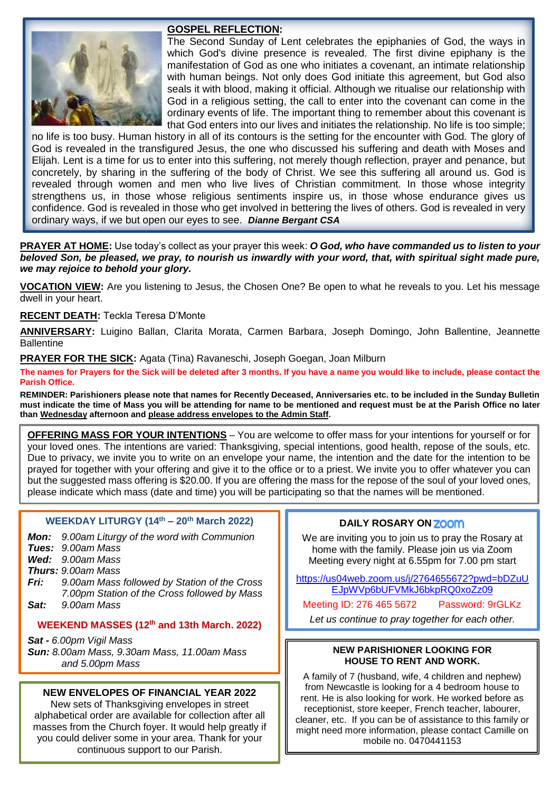# **GOSPEL REFLECTION:**



The Second Sunday of Lent celebrates the epiphanies of God, the ways in which God's divine presence is revealed. The first divine epiphany is the manifestation of God as one who initiates a covenant, an intimate relationship with human beings. Not only does God initiate this agreement, but God also seals it with blood, making it official. Although we ritualise our relationship with God in a religious setting, the call to enter into the covenant can come in the ordinary events of life. The important thing to remember about this covenant is that God enters into our lives and initiates the relationship. No life is too simple;

no life is too busy. Human history in all of its contours is the setting for the encounter with God. The glory of God is revealed in the transfigured Jesus, the one who discussed his suffering and death with Moses and Elijah. Lent is a time for us to enter into this suffering, not merely though reflection, prayer and penance, but concretely, by sharing in the suffering of the body of Christ. We see this suffering all around us. God is revealed through women and men who live lives of Christian commitment. In those whose integrity strengthens us, in those whose religious sentiments inspire us, in those whose endurance gives us confidence. God is revealed in those who get involved in bettering the lives of others. God is revealed in very ordinary ways, if we but open our eyes to see. *Dianne Bergant CSA*

**PRAYER AT HOME:** Use today's collect as your prayer this week: *O God, who have commanded us to listen to your beloved Son, be pleased, we pray, to nourish us inwardly with your word, that, with spiritual sight made pure, we may rejoice to behold your glory.*

**VOCATION VIEW:** Are you listening to Jesus, the Chosen One? Be open to what he reveals to you. Let his message dwell in your heart.

**RECENT DEATH:** Teckla Teresa D'Monte

**ANNIVERSARY:** Luigino Ballan, Clarita Morata, Carmen Barbara, Joseph Domingo, John Ballentine, Jeannette **Ballentine** 

**PRAYER FOR THE SICK:** Agata (Tina) Ravaneschi, Joseph Goegan, Joan Milburn

**The names for Prayers for the Sick will be deleted after 3 months. If you have a name you would like to include, please contact the Parish Office.**

**REMINDER: Parishioners please note that names for Recently Deceased, Anniversaries etc. to be included in the Sunday Bulletin must indicate the time of Mass you will be attending for name to be mentioned and request must be at the Parish Office no later than Wednesday afternoon and please address envelopes to the Admin Staff.** 

**OFFERING MASS FOR YOUR INTENTIONS** – You are welcome to offer mass for your intentions for yourself or for your loved ones. The intentions are varied: Thanksgiving, special intentions, good health, repose of the souls, etc. Due to privacy, we invite you to write on an envelope your name, the intention and the date for the intention to be prayed for together with your offering and give it to the office or to a priest. We invite you to offer whatever you can but the suggested mass offering is \$20.00. If you are offering the mass for the repose of the soul of your loved ones, please indicate which mass (date and time) you will be participating so that the names will be mentioned.

#### **WEEKDAY LITURGY (14th – 20th March 2022)**

- *Mon: 9.00am Liturgy of the word with Communion*
- *Tues: 9.00am Mass*
- *Wed: 9.00am Mass*
- *Thurs: 9.00am Mass*
- *Fri: 9.00am Mass followed by Station of the Cross 7.00pm Station of the Cross followed by Mass*
- *Sat: 9.00am Mass*

#### **WEEKEND MASSES (12th and 13th March. 2022)**

*Sat - 6.00pm Vigil Mass Sun: 8.00am Mass, 9.30am Mass, 11.00am Mass and 5.00pm Mass*

#### **NEW ENVELOPES OF FINANCIAL YEAR 2022**

New sets of Thanksgiving envelopes in street alphabetical order are available for collection after all masses from the Church foyer. It would help greatly if you could deliver some in your area. Thank for your continuous support to our Parish.

#### **DAILY ROSARY ON ZOOM**

We are inviting you to join us to pray the Rosary at home with the family. Please join us via Zoom Meeting every night at 6.55pm for 7.00 pm start

https://us04web.zoom.us/j/2764655672?pwd=bDZuU EJpWVp6bUFVMkJ6bkpRQ0xoZz09

Meeting ID: 276 465 5672 Password: 9rGLKz

*Let us continue to pray together for each other.*

#### **NEW PARISHIONER LOOKING FOR HOUSE TO RENT AND WORK.**

A family of 7 (husband, wife, 4 children and nephew) from Newcastle is looking for a 4 bedroom house to rent. He is also looking for work. He worked before as receptionist, store keeper, French teacher, labourer, cleaner, etc. If you can be of assistance to this family or might need more information, please contact Camille on mobile no. 0470441153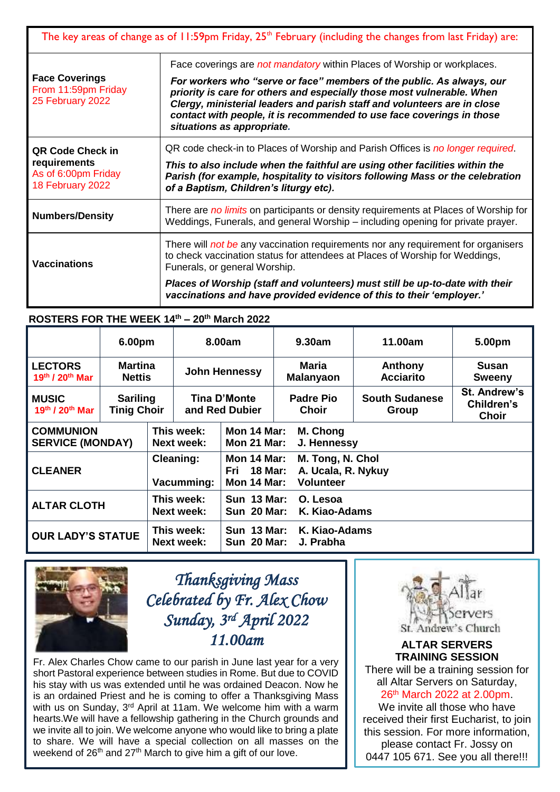| The key areas of change as of $11:59$ pm Friday, $25th$ February (including the changes from last Friday) are: |                                                                                                                                                                                                                                                                                                                                                                                                                |  |  |  |  |  |
|----------------------------------------------------------------------------------------------------------------|----------------------------------------------------------------------------------------------------------------------------------------------------------------------------------------------------------------------------------------------------------------------------------------------------------------------------------------------------------------------------------------------------------------|--|--|--|--|--|
| <b>Face Coverings</b><br>From 11:59pm Friday<br>25 February 2022                                               | Face coverings are not mandatory within Places of Worship or workplaces.<br>For workers who "serve or face" members of the public. As always, our<br>priority is care for others and especially those most vulnerable. When<br>Clergy, ministerial leaders and parish staff and volunteers are in close<br>contact with people, it is recommended to use face coverings in those<br>situations as appropriate. |  |  |  |  |  |
| QR Code Check in<br>requirements<br>As of 6:00pm Friday<br>18 February 2022                                    | QR code check-in to Places of Worship and Parish Offices is no longer required.<br>This to also include when the faithful are using other facilities within the<br>Parish (for example, hospitality to visitors following Mass or the celebration<br>of a Baptism, Children's liturgy etc).                                                                                                                    |  |  |  |  |  |
| <b>Numbers/Density</b>                                                                                         | There are no limits on participants or density requirements at Places of Worship for<br>Weddings, Funerals, and general Worship – including opening for private prayer.                                                                                                                                                                                                                                        |  |  |  |  |  |
| <b>Vaccinations</b>                                                                                            | There will not be any vaccination requirements nor any requirement for organisers<br>to check vaccination status for attendees at Places of Worship for Weddings,<br>Funerals, or general Worship.<br>Places of Worship (staff and volunteers) must still be up-to-date with their<br>vaccinations and have provided evidence of this to their 'employer.'                                                     |  |  |  |  |  |

### **ROSTERS FOR THE WEEK 14th – 20th March 2022**

|                                             | 6.00pm                                |                                | 8.00am                                                                      |                                                  | 9.30am                           | 11.00am                                | 5.00pm                                     |  |
|---------------------------------------------|---------------------------------------|--------------------------------|-----------------------------------------------------------------------------|--------------------------------------------------|----------------------------------|----------------------------------------|--------------------------------------------|--|
| <b>LECTORS</b><br>19th / 20th Mar           | <b>Martina</b><br><b>Nettis</b>       |                                | <b>John Hennessy</b>                                                        |                                                  | <b>Maria</b><br><b>Malanyaon</b> | Anthony<br><b>Acciarito</b>            | <b>Susan</b><br><b>Sweeny</b>              |  |
| <b>MUSIC</b><br>19th / 20th Mar             | <b>Sariling</b><br><b>Tinig Choir</b> |                                | Tina D'Monte<br>and Red Dubier                                              |                                                  | Padre Pio<br>Choir               | <b>South Sudanese</b><br>Group         | St. Andrew's<br>Children's<br><b>Choir</b> |  |
| <b>COMMUNION</b><br><b>SERVICE (MONDAY)</b> |                                       |                                | Mon 14 Mar:<br>This week:<br>Mon 21 Mar:<br>Next week:                      |                                                  | M. Chong<br>J. Hennessy          |                                        |                                            |  |
| <b>CLEANER</b>                              |                                       | <b>Cleaning:</b><br>Vacumming: |                                                                             | Mon 14 Mar:<br>Fri 18 Mar:<br><b>Mon 14 Mar:</b> | <b>Volunteer</b>                 | M. Tong, N. Chol<br>A. Ucala, R. Nykuy |                                            |  |
| <b>ALTAR CLOTH</b>                          |                                       |                                | This week:<br><b>Sun 13 Mar:</b><br><b>Sun 20 Mar:</b><br><b>Next week:</b> |                                                  | O. Lesoa                         | K. Kiao-Adams                          |                                            |  |
| <b>OUR LADY'S STATUE</b>                    |                                       |                                | This week:<br><b>Sun 13 Mar:</b><br>Sun 20 Mar:<br><b>Next week:</b>        |                                                  | K. Kiao-Adams<br>J. Prabha       |                                        |                                            |  |



*Thanksgiving Mass Celebrated by Fr. Alex Chow Sunday, 3rd April 2022 11.00am* 

Fr. Alex Charles Chow came to our parish in June last year for a very short Pastoral experience between studies in Rome. But due to COVID his stay with us was extended until he was ordained Deacon. Now he is an ordained Priest and he is coming to offer a Thanksgiving Mass with us on Sunday, 3<sup>rd</sup> April at 11am. We welcome him with a warm hearts.We will have a fellowship gathering in the Church grounds and we invite all to join. We welcome anyone who would like to bring a plate to share. We will have a special collection on all masses on the weekend of 26<sup>th</sup> and 27<sup>th</sup> March to give him a gift of our love.



#### **ALTAR SERVERS TRAINING SESSION**

There will be a training session for all Altar Servers on Saturday, 26th March 2022 at 2.00pm.

We invite all those who have received their first Eucharist, to join this session. For more information, please contact Fr. Jossy on 0447 105 671. See you all there!!!